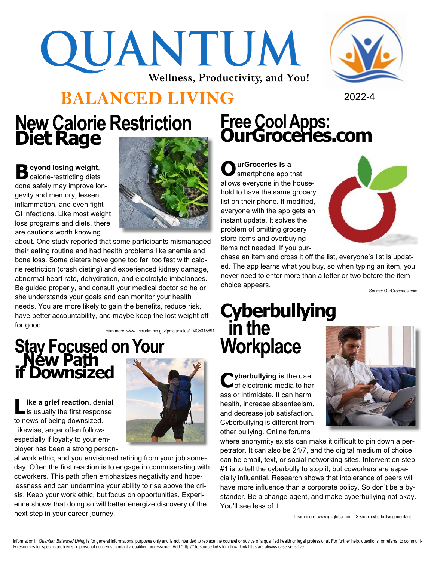# QUANTUM **Wellness, Productivity, and You!**



### **BALANCED LIVING** <sup>2022</sup>-<sup>4</sup>

# **Free Cool Apps: OurGroceries.com New Calorie Restriction Diet Rage**

**B** eyond losing weight,<br> **B** calorie-restricting diets calorie-restricting diets done safely may improve longevity and memory, lessen inflammation, and even fight GI infections. Like most weight loss programs and diets, there are cautions worth knowing



about. One study reported that some participants mismanaged their eating routine and had health problems like anemia and bone loss. Some dieters have gone too far, too fast with calorie restriction (crash dieting) and experienced kidney damage, abnormal heart rate, dehydration, and electrolyte imbalances. Be guided properly, and consult your medical doctor so he or she understands your goals and can monitor your health needs. You are more likely to gain the benefits, reduce risk, have better accountability, and maybe keep the lost weight off for good.

Learn more: www.ncbi.nlm.nih.gov/pmc/articles/PMC5315691

## **Stay Focused on Your New Path if Downsized**

**L ike a grief reaction**, denial is usually the first response to news of being downsized. Likewise, anger often follows, especially if loyalty to your employer has been a strong person-



al work ethic, and you envisioned retiring from your job someday. Often the first reaction is to engage in commiserating with coworkers. This path often emphasizes negativity and hopelessness and can undermine your ability to rise above the crisis. Keep your work ethic, but focus on opportunities. Experience shows that doing so will better energize discovery of the next step in your career journey.

**O urGroceries is a**  smartphone app that allows everyone in the household to have the same grocery list on their phone. If modified, everyone with the app gets an instant update. It solves the problem of omitting grocery store items and overbuying items not needed. If you pur-



chase an item and cross it off the list, everyone's list is updated. The app learns what you buy, so when typing an item, you never need to enter more than a letter or two before the item choice appears.

Source: OurGroceries.com.

#### **Cyberbullying in the Workplace**

Cyberbullying is the use<br>
of electronic media to har**yberbullying is** the use ass or intimidate. It can harm health, increase absenteeism, and decrease job satisfaction. Cyberbullying is different from other bullying. Online forums



where anonymity exists can make it difficult to pin down a perpetrator. It can also be 24/7, and the digital medium of choice can be email, text, or social networking sites. Intervention step #1 is to tell the cyberbully to stop it, but coworkers are especially influential. Research shows that intolerance of peers will have more influence than a corporate policy. So don't be a bystander. Be a change agent, and make cyberbullying not okay. You'll see less of it.

Learn more: www.igi-global.com. [Search: cyberbullying merdan]